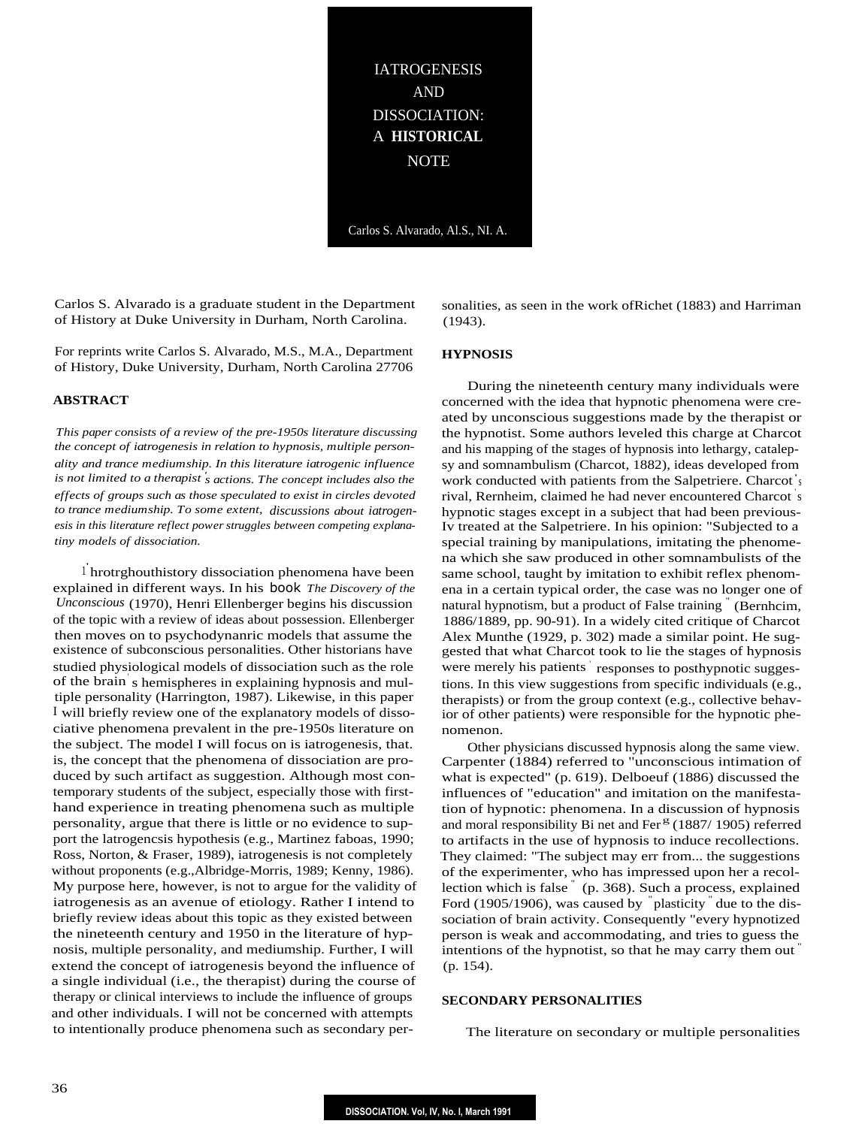IATROGENESIS AND DISSOCIATION: A **HISTORICAL** NOTE

Carlos S. Alvarado, Al.S., NI. A.

Carlos S. Alvarado is a graduate student in the Department of History at Duke University in Durham, North Carolina.

For reprints write Carlos S. Alvarado, M.S., M.A., Department of History, Duke University, Durham, North Carolina 27706

#### **ABSTRACT**

*This paper consists of a review of the pre-1950s literature discussing the concept of iatrogenesis in relation to hypnosis, multiple personality and trance mediumship. In this literature iatrogenic influence is not limited to a therapist ' s actions. The concept includes also the effects of groups such as those speculated to exist in circles devoted to trance mediumship. To some extent, discussions about iatrogenesis in this literature reflect power struggles between competing explanatiny models of dissociation.*

<sup>1</sup> hrotrghouthistory dissociation phenomena have been explained in different ways. In his book *The Discovery of the Unconscious* (1970), Henri Ellenberger begins his discussion of the topic with a review of ideas about possession. Ellenberger then moves on to psychodynanric models that assume the existence of subconscious personalities. Other historians have studied physiological models of dissociation such as the role of the brain' s hemispheres in explaining hypnosis and multiple personality (Harrington, 1987). Likewise, in this paper I will briefly review one of the explanatory models of dissociative phenomena prevalent in the pre-1950s literature on the subject. The model I will focus on is iatrogenesis, that. is, the concept that the phenomena of dissociation are produced by such artifact as suggestion. Although most contemporary students of the subject, especially those with firsthand experience in treating phenomena such as multiple personality, argue that there is little or no evidence to support the latrogencsis hypothesis (e.g., Martinez faboas, 1990; Ross, Norton, & Fraser, 1989), iatrogenesis is not completely without proponents (e.g.,Albridge-Morris, 1989; Kenny, 1986). My purpose here, however, is not to argue for the validity of iatrogenesis as an avenue of etiology. Rather I intend to briefly review ideas about this topic as they existed between the nineteenth century and 1950 in the literature of hypnosis, multiple personality, and mediumship. Further, I will extend the concept of iatrogenesis beyond the influence of a single individual (i.e., the therapist) during the course of therapy or clinical interviews to include the influence of groups and other individuals. I will not be concerned with attempts to intentionally produce phenomena such as secondary personalities, as seen in the work ofRichet (1883) and Harriman (1943).

## **HYPNOSIS**

During the nineteenth century many individuals were concerned with the idea that hypnotic phenomena were created by unconscious suggestions made by the therapist or the hypnotist. Some authors leveled this charge at Charcot and his mapping of the stages of hypnosis into lethargy, catalepsy and somnambulism (Charcot, 1882), ideas developed from work conducted with patients from the Salpetriere. Charcot' s rival, Rernheim, claimed he had never encountered Charcot ' s hypnotic stages except in a subject that had been previous-Iv treated at the Salpetriere. In his opinion: "Subjected to a special training by manipulations, imitating the phenomena which she saw produced in other somnambulists of the same school, taught by imitation to exhibit reflex phenomena in a certain typical order, the case was no longer one of natural hypnotism, but a product of False training " (Bernhcim, 1886/1889, pp. 90-91). In a widely cited critique of Charcot Alex Munthe (1929, p. 302) made a similar point. He suggested that what Charcot took to lie the stages of hypnosis were merely his patients responses to posthypnotic suggestions. In this view suggestions from specific individuals (e.g., therapists) or from the group context (e.g., collective behavior of other patients) were responsible for the hypnotic phenomenon.

Other physicians discussed hypnosis along the same view. Carpenter (1884) referred to "unconscious intimation of what is expected" (p. 619). Delboeuf (1886) discussed the influences of "education" and imitation on the manifestation of hypnotic: phenomena. In a discussion of hypnosis and moral responsibility Bi net and Fer<sup> $g$ </sup> (1887/ 1905) referred to artifacts in the use of hypnosis to induce recollections. They claimed: "The subject may err from... the suggestions of the experimenter, who has impressed upon her a recollection which is false " (p. 368). Such a process, explained Ford (1905/1906), was caused by <sup>"</sup>plasticity" due to the dissociation of brain activity. Consequently "every hypnotized person is weak and accommodating, and tries to guess the intentions of the hypnotist, so that he may carry them out " (p. 154).

### **SECONDARY PERSONALITIES**

The literature on secondary or multiple personalities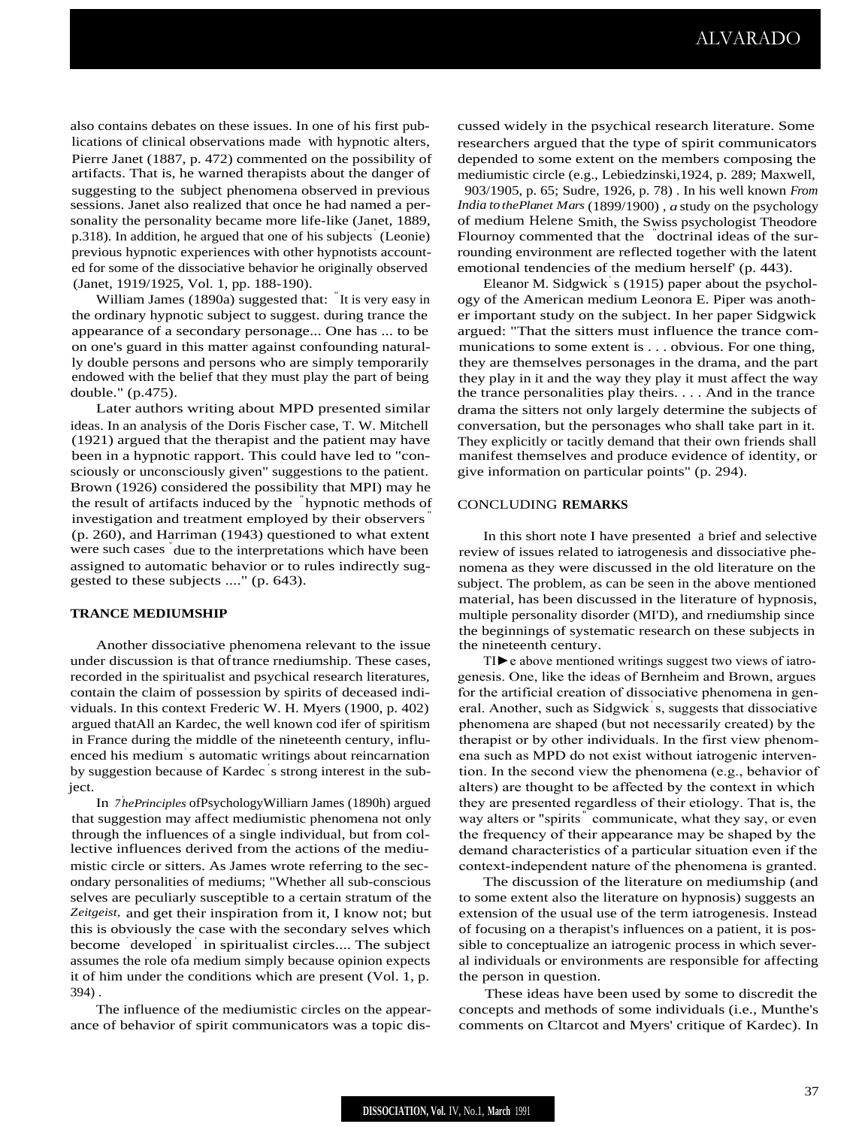also contains debates on these issues. In one of his first publications of clinical observations made with hypnotic alters, Pierre Janet (1887, p. 472) commented on the possibility of artifacts. That is, he warned therapists about the danger of suggesting to the subject phenomena observed in previous sessions. Janet also realized that once he had named a personality the personality became more life-like (Janet, 1889, p.318). In addition, he argued that one of his subjects' (Leonie) previous hypnotic experiences with other hypnotists accounted for some of the dissociative behavior he originally observed (Janet, 1919/1925, Vol. 1, pp. 188-190).

William James (1890a) suggested that: " It is very easy in the ordinary hypnotic subject to suggest. during trance the appearance of a secondary personage... One has ... to be on one's guard in this matter against confounding naturally double persons and persons who are simply temporarily endowed with the belief that they must play the part of being double." (p.475).

Later authors writing about MPD presented similar ideas. In an analysis of the Doris Fischer case, T. W. Mitchell (1921) argued that the therapist and the patient may have been in a hypnotic rapport. This could have led to "consciously or unconsciously given" suggestions to the patient. Brown (1926) considered the possibility that MPI) may he the result of artifacts induced by the " hypnotic methods of investigation and treatment employed by their observers (p. 260), and Harriman (1943) questioned to what extent were such cases " due to the interpretations which have been assigned to automatic behavior or to rules indirectly suggested to these subjects ...." (p. 643).

## **TRANCE MEDIUMSHIP**

Another dissociative phenomena relevant to the issue under discussion is that oftrance rnediumship. These cases, recorded in the spiritualist and psychical research literatures, contain the claim of possession by spirits of deceased individuals. In this context Frederic W. H. Myers (1900, p. 402) argued thatAll an Kardec, the well known cod ifer of spiritism in France during the middle of the nineteenth century, influenced his medium' s automatic writings about reincarnation by suggestion because of Kardec ' s strong interest in the subject.

In *7 ' hePrinciples* ofPsychologyWilliarn James (1890h) argued that suggestion may affect mediumistic phenomena not only through the influences of a single individual, but from collective influences derived from the actions of the mediumistic circle or sitters. As James wrote referring to the secondary personalities of mediums; "Whether all sub-conscious selves are peculiarly susceptible to a certain stratum of the *Zeitgeist,* and get their inspiration from it, I know not; but this is obviously the case with the secondary selves which become developed in spiritualist circles.... The subject assumes the role ofa medium simply because opinion expects it of him under the conditions which are present (Vol. 1, p. 394) .

The influence of the mediumistic circles on the appearance of behavior of spirit communicators was a topic discussed widely in the psychical research literature. Some researchers argued that the type of spirit communicators depended to some extent on the members composing the mediumistic circle (e.g., Lebiedzinski,1924, p. 289; Maxwell, 903/1905, p. 65; Sudre, 1926, p. 78) . In his well known *From India tothePlanet Mars* (1899/1900) , *a* study on the psychology of medium Helene Smith, the Swiss psychologist Theodore Flournoy commented that the " doctrinal ideas of the surrounding environment are reflected together with the latent emotional tendencies of the medium herself' (p. 443).

Eleanor M. Sidgwick' s (1915) paper about the psychology of the American medium Leonora E. Piper was another important study on the subject. In her paper Sidgwick argued: "That the sitters must influence the trance communications to some extent is . . . obvious. For one thing, they are themselves personages in the drama, and the part they play in it and the way they play it must affect the way the trance personalities play theirs. . . . And in the trance drama the sitters not only largely determine the subjects of conversation, but the personages who shall take part in it. They explicitly or tacitly demand that their own friends shall manifest themselves and produce evidence of identity, or give information on particular points" (p. 294).

## CONCLUDING **REMARKS**

In this short note I have presented a brief and selective review of issues related to iatrogenesis and dissociative phenomena as they were discussed in the old literature on the subject. The problem, as can be seen in the above mentioned material, has been discussed in the literature of hypnosis, multiple personality disorder (MI'D), and rnediumship since the beginnings of systematic research on these subjects in the nineteenth century.

TI►e above mentioned writings suggest two views of iatrogenesis. One, like the ideas of Bernheim and Brown, argues for the artificial creation of dissociative phenomena in general. Another, such as Sidgwick' s, suggests that dissociative phenomena are shaped (but not necessarily created) by the therapist or by other individuals. In the first view phenomena such as MPD do not exist without iatrogenic intervention. In the second view the phenomena (e.g., behavior of alters) are thought to be affected by the context in which they are presented regardless of their etiology. That is, the way alters or "spirits<sup>"</sup> communicate, what they say, or even the frequency of their appearance may be shaped by the demand characteristics of a particular situation even if the context-independent nature of the phenomena is granted.

The discussion of the literature on mediumship (and to some extent also the literature on hypnosis) suggests an extension of the usual use of the term iatrogenesis. Instead of focusing on a therapist's influences on a patient, it is possible to conceptualize an iatrogenic process in which several individuals or environments are responsible for affecting the person in question.

These ideas have been used by some to discredit the concepts and methods of some individuals (i.e., Munthe's comments on Cltarcot and Myers' critique of Kardec). In